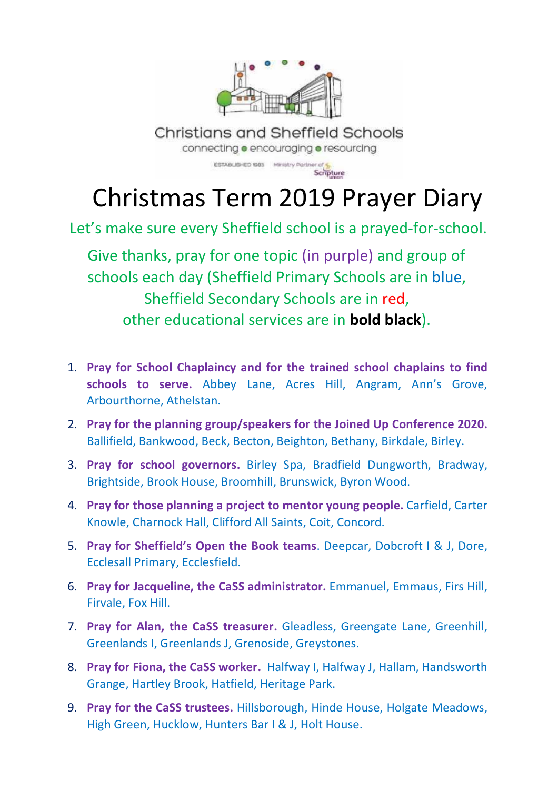

**Christians and Sheffield Schools** connecting **o** encouraging **o** resourcing

ESTABLISHED 1985 Ministry Partner of Scripture

## Christmas Term 2019 Prayer Diary

Let's make sure every Sheffield school is a prayed-for-school.

Give thanks, pray for one topic (in purple) and group of schools each day (Sheffield Primary Schools are in blue, Sheffield Secondary Schools are in red, other educational services are in **bold black**).

- 1. **Pray for School Chaplaincy and for the trained school chaplains to find schools to serve.** Abbey Lane, Acres Hill, Angram, Ann's Grove, Arbourthorne, Athelstan.
- 2. **Pray for the planning group/speakers for the Joined Up Conference 2020.**  Ballifield, Bankwood, Beck, Becton, Beighton, Bethany, Birkdale, Birley.
- 3. **Pray for school governors.** Birley Spa, Bradfield Dungworth, Bradway, Brightside, Brook House, Broomhill, Brunswick, Byron Wood.
- 4. **Pray for those planning a project to mentor young people.** Carfield, Carter Knowle, Charnock Hall, Clifford All Saints, Coit, Concord.
- 5. **Pray for Sheffield's Open the Book teams**. Deepcar, Dobcroft I & J, Dore, Ecclesall Primary, Ecclesfield.
- 6. **Pray for Jacqueline, the CaSS administrator.** Emmanuel, Emmaus, Firs Hill, Firvale, Fox Hill.
- 7. **Pray for Alan, the CaSS treasurer.** Gleadless, Greengate Lane, Greenhill, Greenlands I, Greenlands J, Grenoside, Greystones.
- 8. **Pray for Fiona, the CaSS worker.** Halfway I, Halfway J, Hallam, Handsworth Grange, Hartley Brook, Hatfield, Heritage Park.
- 9. **Pray for the CaSS trustees.** Hillsborough, Hinde House, Holgate Meadows, High Green, Hucklow, Hunters Bar I & J, Holt House.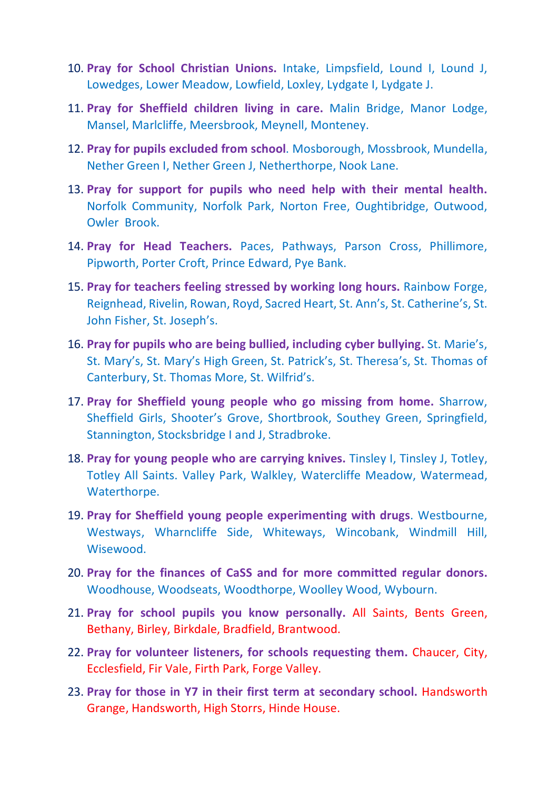- 10. **Pray for School Christian Unions.** Intake, Limpsfield, Lound I, Lound J, Lowedges, Lower Meadow, Lowfield, Loxley, Lydgate I, Lydgate J.
- 11. **Pray for Sheffield children living in care.** Malin Bridge, Manor Lodge, Mansel, Marlcliffe, Meersbrook, Meynell, Monteney.
- 12. **Pray for pupils excluded from school**. Mosborough, Mossbrook, Mundella, Nether Green I, Nether Green J, Netherthorpe, Nook Lane.
- 13. **Pray for support for pupils who need help with their mental health.** Norfolk Community, Norfolk Park, Norton Free, Oughtibridge, Outwood, Owler Brook.
- 14. **Pray for Head Teachers.** Paces, Pathways, Parson Cross, Phillimore, Pipworth, Porter Croft, Prince Edward, Pye Bank.
- 15. **Pray for teachers feeling stressed by working long hours.** Rainbow Forge, Reignhead, Rivelin, Rowan, Royd, Sacred Heart, St. Ann's, St. Catherine's, St. John Fisher, St. Joseph's.
- 16. **Pray for pupils who are being bullied, including cyber bullying.** St. Marie's, St. Mary's, St. Mary's High Green, St. Patrick's, St. Theresa's, St. Thomas of Canterbury, St. Thomas More, St. Wilfrid's.
- 17. **Pray for Sheffield young people who go missing from home.** Sharrow, Sheffield Girls, Shooter's Grove, Shortbrook, Southey Green, Springfield, Stannington, Stocksbridge I and J, Stradbroke.
- 18. **Pray for young people who are carrying knives.** Tinsley I, Tinsley J, Totley, Totley All Saints. Valley Park, Walkley, Watercliffe Meadow, Watermead, Waterthorpe.
- 19. **Pray for Sheffield young people experimenting with drugs**. Westbourne, Westways, Wharncliffe Side, Whiteways, Wincobank, Windmill Hill, Wisewood.
- 20. **Pray for the finances of CaSS and for more committed regular donors.** Woodhouse, Woodseats, Woodthorpe, Woolley Wood, Wybourn.
- 21. **Pray for school pupils you know personally.** All Saints, Bents Green, Bethany, Birley, Birkdale, Bradfield, Brantwood.
- 22. **Pray for volunteer listeners, for schools requesting them.** Chaucer, City, Ecclesfield, Fir Vale, Firth Park, Forge Valley.
- 23. **Pray for those in Y7 in their first term at secondary school.** Handsworth Grange, Handsworth, High Storrs, Hinde House.